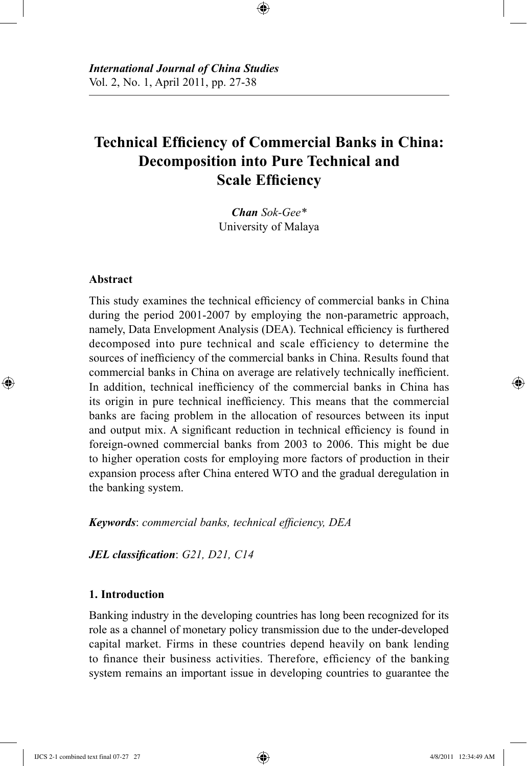# **Technical Efficiency of Commercial Banks in China: Decomposition into Pure Technical and Scale Efficiency**

⊕

*Chan Sok-Gee\** University of Malaya

### **Abstract**

⊕

This study examines the technical efficiency of commercial banks in China during the period 2001-2007 by employing the non-parametric approach, namely, Data Envelopment Analysis (DEA). Technical efficiency is furthered decomposed into pure technical and scale efficiency to determine the sources of inefficiency of the commercial banks in China. Results found that commercial banks in China on average are relatively technically inefficient. In addition, technical inefficiency of the commercial banks in China has its origin in pure technical inefficiency. This means that the commercial banks are facing problem in the allocation of resources between its input and output mix. A significant reduction in technical efficiency is found in foreign-owned commercial banks from 2003 to 2006. This might be due to higher operation costs for employing more factors of production in their expansion process after China entered WTO and the gradual deregulation in the banking system.

*Keywords*: *commercial banks, technical efficiency, DEA*

*JEL classification*: *G21, D21, C14*

# **1. Introduction**

Banking industry in the developing countries has long been recognized for its role as a channel of monetary policy transmission due to the under-developed capital market. Firms in these countries depend heavily on bank lending to finance their business activities. Therefore, efficiency of the banking system remains an important issue in developing countries to guarantee the

IJCS 2-1 combined text final 07-27 27 4/8/2011 12:34:49 AM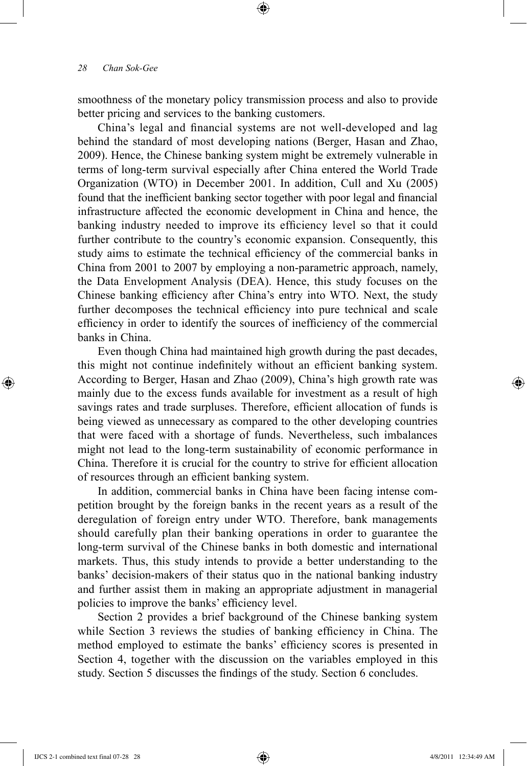smoothness of the monetary policy transmission process and also to provide better pricing and services to the banking customers.

⊕

China's legal and financial systems are not well-developed and lag behind the standard of most developing nations (Berger, Hasan and Zhao, 2009). Hence, the Chinese banking system might be extremely vulnerable in terms of long-term survival especially after China entered the World Trade Organization (WTO) in December 2001. In addition, Cull and Xu (2005) found that the inefficient banking sector together with poor legal and financial infrastructure affected the economic development in China and hence, the banking industry needed to improve its efficiency level so that it could further contribute to the country's economic expansion. Consequently, this study aims to estimate the technical efficiency of the commercial banks in China from 2001 to 2007 by employing a non-parametric approach, namely, the Data Envelopment Analysis (DEA). Hence, this study focuses on the Chinese banking efficiency after China's entry into WTO. Next, the study further decomposes the technical efficiency into pure technical and scale efficiency in order to identify the sources of inefficiency of the commercial banks in China.

Even though China had maintained high growth during the past decades, this might not continue indefinitely without an efficient banking system. According to Berger, Hasan and Zhao (2009), China's high growth rate was mainly due to the excess funds available for investment as a result of high savings rates and trade surpluses. Therefore, efficient allocation of funds is being viewed as unnecessary as compared to the other developing countries that were faced with a shortage of funds. Nevertheless, such imbalances might not lead to the long-term sustainability of economic performance in China. Therefore it is crucial for the country to strive for efficient allocation of resources through an efficient banking system.

In addition, commercial banks in China have been facing intense competition brought by the foreign banks in the recent years as a result of the deregulation of foreign entry under WTO. Therefore, bank managements should carefully plan their banking operations in order to guarantee the long-term survival of the Chinese banks in both domestic and international markets. Thus, this study intends to provide a better understanding to the banks' decision-makers of their status quo in the national banking industry and further assist them in making an appropriate adjustment in managerial policies to improve the banks' efficiency level.

Section 2 provides a brief background of the Chinese banking system while Section 3 reviews the studies of banking efficiency in China. The method employed to estimate the banks' efficiency scores is presented in Section 4, together with the discussion on the variables employed in this study. Section 5 discusses the findings of the study. Section 6 concludes.

⊕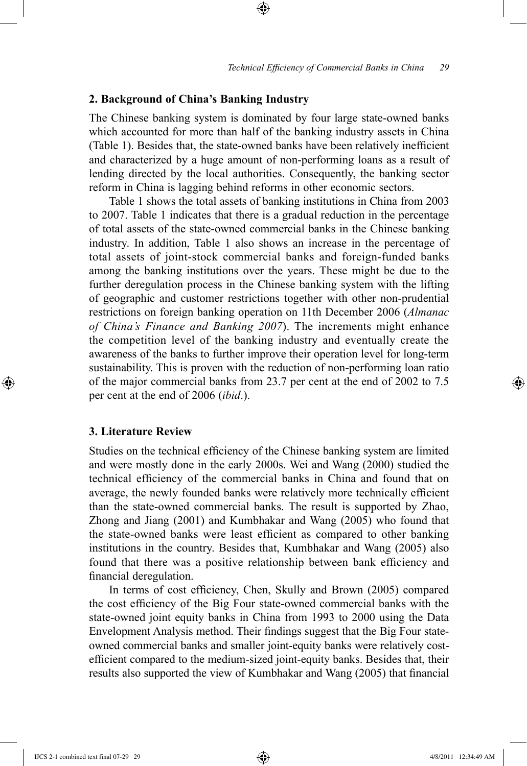## **2. Background of China's Banking Industry**

The Chinese banking system is dominated by four large state-owned banks which accounted for more than half of the banking industry assets in China (Table 1). Besides that, the state-owned banks have been relatively inefficient and characterized by a huge amount of non-performing loans as a result of lending directed by the local authorities. Consequently, the banking sector reform in China is lagging behind reforms in other economic sectors.

⊕

Table 1 shows the total assets of banking institutions in China from 2003 to 2007. Table 1 indicates that there is a gradual reduction in the percentage of total assets of the state-owned commercial banks in the Chinese banking industry. In addition, Table 1 also shows an increase in the percentage of total assets of joint-stock commercial banks and foreign-funded banks among the banking institutions over the years. These might be due to the further deregulation process in the Chinese banking system with the lifting of geographic and customer restrictions together with other non-prudential restrictions on foreign banking operation on 11th December 2006 (*Almanac of China's Finance and Banking 2007*). The increments might enhance the competition level of the banking industry and eventually create the awareness of the banks to further improve their operation level for long-term sustainability. This is proven with the reduction of non-performing loan ratio of the major commercial banks from 23.7 per cent at the end of 2002 to 7.5 per cent at the end of 2006 (*ibid*.).

## **3. Literature Review**

⊕

Studies on the technical efficiency of the Chinese banking system are limited and were mostly done in the early 2000s. Wei and Wang (2000) studied the technical efficiency of the commercial banks in China and found that on average, the newly founded banks were relatively more technically efficient than the state-owned commercial banks. The result is supported by Zhao, Zhong and Jiang (2001) and Kumbhakar and Wang (2005) who found that the state-owned banks were least efficient as compared to other banking institutions in the country. Besides that, Kumbhakar and Wang (2005) also found that there was a positive relationship between bank efficiency and financial deregulation.

In terms of cost efficiency, Chen, Skully and Brown (2005) compared the cost efficiency of the Big Four state-owned commercial banks with the state-owned joint equity banks in China from 1993 to 2000 using the Data Envelopment Analysis method. Their findings suggest that the Big Four stateowned commercial banks and smaller joint-equity banks were relatively costefficient compared to the medium-sized joint-equity banks. Besides that, their results also supported the view of Kumbhakar and Wang (2005) that financial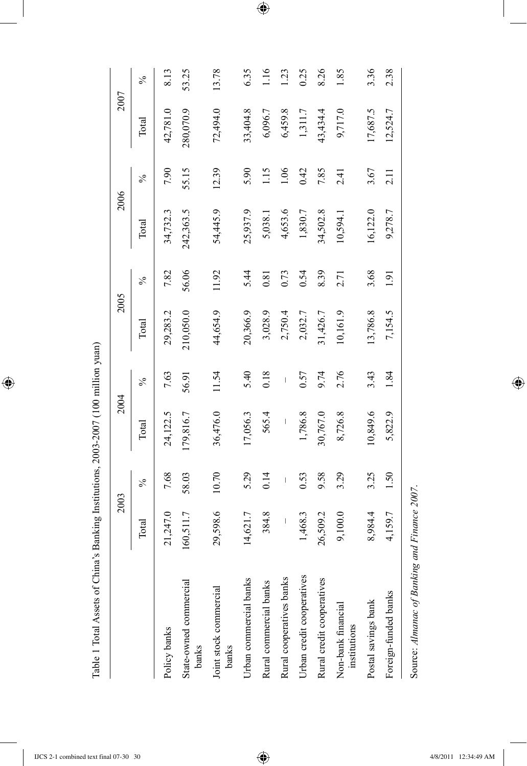$\overline{\phantom{a}}$ 

 $\bigoplus$ 

| 5.29<br>7.68<br>58.03<br>10.70<br>0.14<br>$\overline{\phantom{a}}$<br>$\frac{5}{6}$<br>29,598.6<br>384.8<br>21,247.0<br>160,511.7<br>14,621.7<br>1,468.3<br>$\mid$<br>Total<br>Urban credit cooperatives<br>Urban commercial banks<br>Rural cooperatives banks<br>State-owned commercial<br>Rural commercial banks<br>Joint stock commercial<br>Policy banks<br>banks<br>banks | 36,476.0<br>24,122.5<br>179,816.7<br>17,056.3<br>Total | 11.54<br>7.63<br>56.91<br>$\frac{5}{6}$ | 210,050.0<br>44,654.9<br>29,283.2<br>Total | 56.06<br>7.82<br>$\%$ |           |               |           |               |
|--------------------------------------------------------------------------------------------------------------------------------------------------------------------------------------------------------------------------------------------------------------------------------------------------------------------------------------------------------------------------------|--------------------------------------------------------|-----------------------------------------|--------------------------------------------|-----------------------|-----------|---------------|-----------|---------------|
|                                                                                                                                                                                                                                                                                                                                                                                |                                                        |                                         |                                            |                       | Total     | $\frac{5}{6}$ | Total     | $\frac{5}{6}$ |
|                                                                                                                                                                                                                                                                                                                                                                                |                                                        |                                         |                                            |                       | 34,732.3  | 7.90          | 42,781.0  | 8.13          |
|                                                                                                                                                                                                                                                                                                                                                                                |                                                        |                                         |                                            |                       | 242,363.5 | 55.15         | 280,070.9 | 53.25         |
|                                                                                                                                                                                                                                                                                                                                                                                |                                                        |                                         |                                            | 11.92                 | 54,445.9  | 12.39         | 72,494.0  | 13.78         |
|                                                                                                                                                                                                                                                                                                                                                                                |                                                        | 5.40                                    | 20,366.9                                   | 5.44                  | 25,937.9  | 5.90          | 33,404.8  | 6.35          |
|                                                                                                                                                                                                                                                                                                                                                                                | 565.4                                                  | 0.18                                    | 3,028.9                                    | 0.81                  | 5,038.1   | 1.15          | 6,096.7   | 16            |
|                                                                                                                                                                                                                                                                                                                                                                                | $\mid$                                                 | $\overline{1}$                          | 2,750.4                                    | 0.73                  | 4,653.6   | 1.06          | 6,459.8   | 1.23          |
|                                                                                                                                                                                                                                                                                                                                                                                | 1,786.8<br>0.53                                        | 0.57                                    | 2,032.7                                    | 0.54                  | 1,830.7   | 0.42          | 1,311.7   | 0.25          |
| 9.58<br>26,509.2<br>Rural credit cooperatives                                                                                                                                                                                                                                                                                                                                  | 30,767.0                                               | 9.74                                    | 31,426.7                                   | 8.39                  | 34,502.8  | 7.85          | 43,434.4  | 8.26          |
| 3.29<br>9,100.0<br>Non-bank financial<br>institutions                                                                                                                                                                                                                                                                                                                          | 8,726.8                                                | 2.76                                    | 10,161.9                                   | 2.71                  | 10,594.   | 2.41          | 9,717.0   | 1.85          |
| 3.25<br>8,984.4<br>Postal savings bank                                                                                                                                                                                                                                                                                                                                         | 10,849.6                                               | 3.43                                    | 13,786.8                                   | 3.68                  | 16,122.0  | 3.67          | 17,687.5  | 3.36          |
| 1.50<br>4,159.7<br>Foreign-funded banks                                                                                                                                                                                                                                                                                                                                        | 5,822.9                                                | 1.84                                    | 7,154.5                                    | 1.91                  | 9,278.7   | 2.11          | 12,524.7  | 2.38          |

Source: Almanac of Banking and Finance 2007. Source: *Almanac of Banking and Finance 2007*.

 $\bigoplus$ 

 $\bigoplus$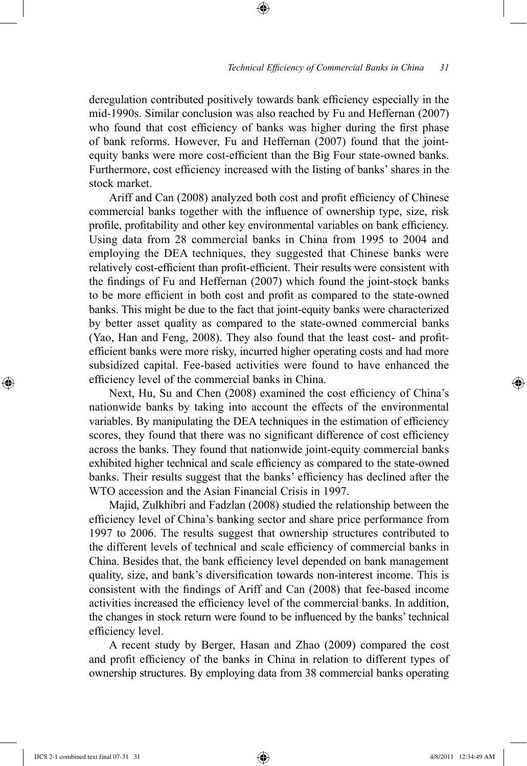deregulation contributed positively towards bank efficiency especially in the mid-1990s. Similar conclusion was also reached by Fu and Heffernan (2007) who found that cost efficiency of banks was higher during the first phase of bank reforms. However, Fu and Heffernan (2007) found that the jointequity banks were more cost-efficient than the Big Four state-owned banks. Furthermore, cost efficiency increased with the listing of banks' shares in the stock market.

⊕

Ariff and Can (2008) analyzed both cost and profit efficiency of Chinese commercial banks together with the influence of ownership type, size, risk profile, profitability and other key environmental variables on bank efficiency. Using data from 28 commercial banks in China from 1995 to 2004 and employing the DEA techniques, they suggested that Chinese banks were relatively cost-efficient than profit-efficient. Their results were consistent with the findings of Fu and Heffernan (2007) which found the joint-stock banks to be more efficient in both cost and profit as compared to the state-owned banks. This might be due to the fact that joint-equity banks were characterized by better asset quality as compared to the state-owned commercial banks (Yao, Han and Feng, 2008). They also found that the least cost- and profitefficient banks were more risky, incurred higher operating costs and had more subsidized capital. Fee-based activities were found to have enhanced the efficiency level of the commercial banks in China.

Next, Hu, Su and Chen (2008) examined the cost efficiency of China's nationwide banks by taking into account the effects of the environmental variables. By manipulating the DEA techniques in the estimation of efficiency scores, they found that there was no significant difference of cost efficiency across the banks. They found that nationwide joint-equity commercial banks exhibited higher technical and scale efficiency as compared to the state-owned banks. Their results suggest that the banks' efficiency has declined after the WTO accession and the Asian Financial Crisis in 1997.

Majid, Zulkhibri and Fadzlan (2008) studied the relationship between the efficiency level of China's banking sector and share price performance from 1997 to 2006. The results suggest that ownership structures contributed to the different levels of technical and scale efficiency of commercial banks in China. Besides that, the bank efficiency level depended on bank management quality, size, and bank's diversification towards non-interest income. This is consistent with the findings of Ariff and Can (2008) that fee-based income activities increased the efficiency level of the commercial banks. In addition, the changes in stock return were found to be influenced by the banks' technical efficiency level.

A recent study by Berger, Hasan and Zhao (2009) compared the cost and profit efficiency of the banks in China in relation to different types of ownership structures. By employing data from 38 commercial banks operating

⊕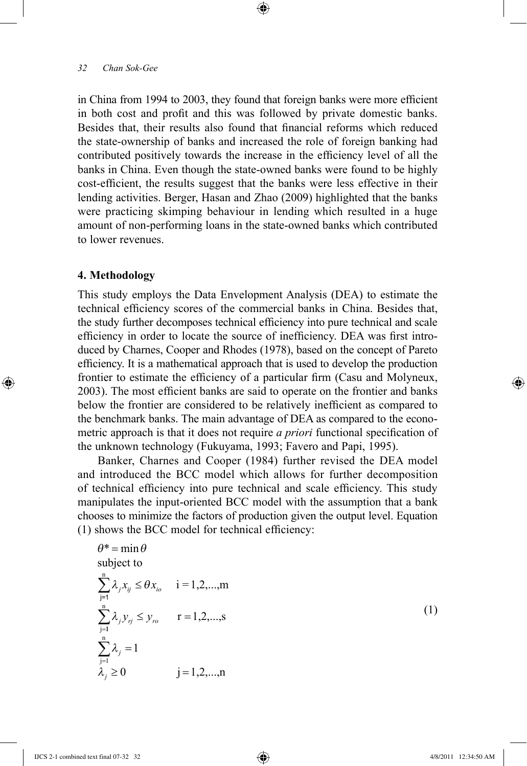in China from 1994 to 2003, they found that foreign banks were more efficient in both cost and profit and this was followed by private domestic banks. Besides that, their results also found that financial reforms which reduced the state-ownership of banks and increased the role of foreign banking had contributed positively towards the increase in the efficiency level of all the banks in China. Even though the state-owned banks were found to be highly cost-efficient, the results suggest that the banks were less effective in their lending activities. Berger, Hasan and Zhao (2009) highlighted that the banks were practicing skimping behaviour in lending which resulted in a huge amount of non-performing loans in the state-owned banks which contributed to lower revenues.

⊕

## **4. Methodology**

⊕

This study employs the Data Envelopment Analysis (DEA) to estimate the technical efficiency scores of the commercial banks in China. Besides that, the study further decomposes technical efficiency into pure technical and scale efficiency in order to locate the source of inefficiency. DEA was first introduced by Charnes, Cooper and Rhodes (1978), based on the concept of Pareto efficiency. It is a mathematical approach that is used to develop the production frontier to estimate the efficiency of a particular firm (Casu and Molyneux, 2003). The most efficient banks are said to operate on the frontier and banks below the frontier are considered to be relatively inefficient as compared to the benchmark banks. The main advantage of DEA as compared to the econometric approach is that it does not require *a priori* functional specification of the unknown technology (Fukuyama, 1993; Favero and Papi, 1995).

Banker, Charnes and Cooper (1984) further revised the DEA model and introduced the BCC model which allows for further decomposition of technical efficiency into pure technical and scale efficiency. This study manipulates the input-oriented BCC model with the assumption that a bank chooses to minimize the factors of production given the output level. Equation (1) shows the BCC model for technical efficiency:

$$
\theta^* = \min \theta
$$
  
\nsubject to  
\n
$$
\sum_{j=1}^{n} \lambda_j x_{ij} \leq \theta x_{io} \quad i = 1, 2, ..., m
$$
  
\n
$$
\sum_{j=1}^{n} \lambda_j y_{ij} \leq y_{ro} \quad r = 1, 2, ..., s
$$
  
\n
$$
\sum_{j=1}^{n} \lambda_j = 1
$$
  
\n
$$
\lambda_j \geq 0 \quad j = 1, 2, ..., n
$$
\n(1)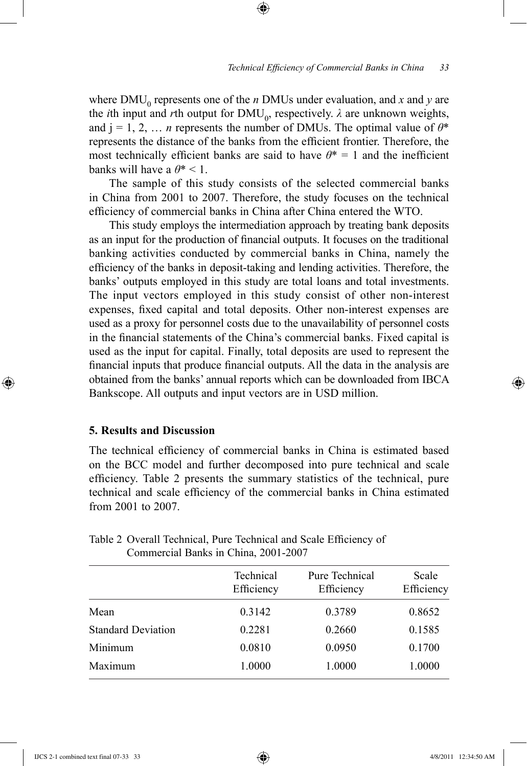where  $\text{DMU}_0$  represents one of the *n* DMUs under evaluation, and *x* and *y* are the *i*th input and *r*th output for  $\text{DMU}_0$ , respectively.  $\lambda$  are unknown weights, and  $j = 1, 2, \ldots$  *n* represents the number of DMUs. The optimal value of  $\theta^*$ represents the distance of the banks from the efficient frontier. Therefore, the most technically efficient banks are said to have  $\theta^* = 1$  and the inefficient banks will have a  $\theta^*$  < 1.

⊕

The sample of this study consists of the selected commercial banks in China from 2001 to 2007. Therefore, the study focuses on the technical efficiency of commercial banks in China after China entered the WTO.

This study employs the intermediation approach by treating bank deposits as an input for the production of financial outputs. It focuses on the traditional banking activities conducted by commercial banks in China, namely the efficiency of the banks in deposit-taking and lending activities. Therefore, the banks' outputs employed in this study are total loans and total investments. The input vectors employed in this study consist of other non-interest expenses, fixed capital and total deposits. Other non-interest expenses are used as a proxy for personnel costs due to the unavailability of personnel costs in the financial statements of the China's commercial banks. Fixed capital is used as the input for capital. Finally, total deposits are used to represent the financial inputs that produce financial outputs. All the data in the analysis are obtained from the banks' annual reports which can be downloaded from IBCA Bankscope. All outputs and input vectors are in USD million.

# **5. Results and Discussion**

⊕

The technical efficiency of commercial banks in China is estimated based on the BCC model and further decomposed into pure technical and scale efficiency. Table 2 presents the summary statistics of the technical, pure technical and scale efficiency of the commercial banks in China estimated from 2001 to 2007.

|                           | Technical<br>Efficiency | <b>Pure Technical</b><br>Efficiency | Scale<br>Efficiency |
|---------------------------|-------------------------|-------------------------------------|---------------------|
| Mean                      | 0.3142                  | 0.3789                              | 0.8652              |
| <b>Standard Deviation</b> | 0.2281                  | 0.2660                              | 0.1585              |
| Minimum                   | 0.0810                  | 0.0950                              | 0.1700              |
| Maximum                   | 1.0000                  | 1.0000                              | 1.0000              |
|                           |                         |                                     |                     |

Table 2 Overall Technical, Pure Technical and Scale Efficiency of Commercial Banks in China, 2001-2007

↔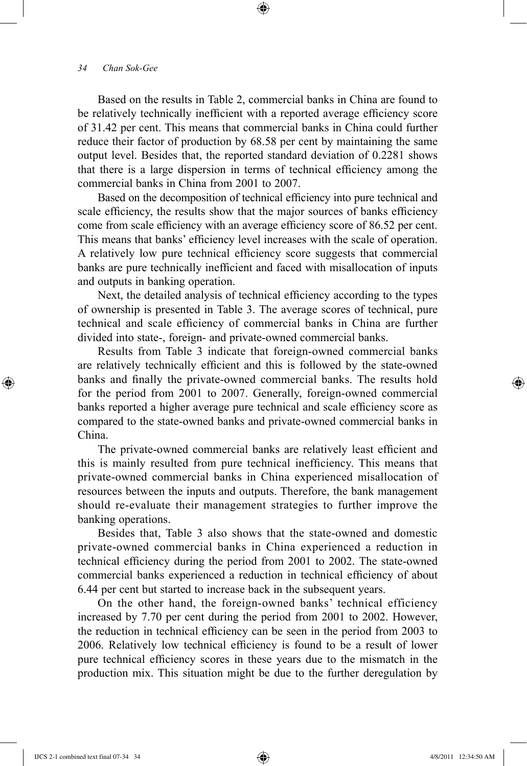Based on the results in Table 2, commercial banks in China are found to be relatively technically inefficient with a reported average efficiency score of 31.42 per cent. This means that commercial banks in China could further reduce their factor of production by 68.58 per cent by maintaining the same output level. Besides that, the reported standard deviation of 0.2281 shows that there is a large dispersion in terms of technical efficiency among the commercial banks in China from 2001 to 2007.

⊕

Based on the decomposition of technical efficiency into pure technical and scale efficiency, the results show that the major sources of banks efficiency come from scale efficiency with an average efficiency score of 86.52 per cent. This means that banks' efficiency level increases with the scale of operation. A relatively low pure technical efficiency score suggests that commercial banks are pure technically inefficient and faced with misallocation of inputs and outputs in banking operation.

Next, the detailed analysis of technical efficiency according to the types of ownership is presented in Table 3. The average scores of technical, pure technical and scale efficiency of commercial banks in China are further divided into state-, foreign- and private-owned commercial banks.

Results from Table 3 indicate that foreign-owned commercial banks are relatively technically efficient and this is followed by the state-owned banks and finally the private-owned commercial banks. The results hold for the period from 2001 to 2007. Generally, foreign-owned commercial banks reported a higher average pure technical and scale efficiency score as compared to the state-owned banks and private-owned commercial banks in China.

The private-owned commercial banks are relatively least efficient and this is mainly resulted from pure technical inefficiency. This means that private-owned commercial banks in China experienced misallocation of resources between the inputs and outputs. Therefore, the bank management should re-evaluate their management strategies to further improve the banking operations.

Besides that, Table 3 also shows that the state-owned and domestic private-owned commercial banks in China experienced a reduction in technical efficiency during the period from 2001 to 2002. The state-owned commercial banks experienced a reduction in technical efficiency of about 6.44 per cent but started to increase back in the subsequent years.

On the other hand, the foreign-owned banks' technical efficiency increased by 7.70 per cent during the period from 2001 to 2002. However, the reduction in technical efficiency can be seen in the period from 2003 to 2006. Relatively low technical efficiency is found to be a result of lower pure technical efficiency scores in these years due to the mismatch in the production mix. This situation might be due to the further deregulation by

IJCS 2-1 combined text final 07-34 34 4/8/2011 12:34:50 AM

⊕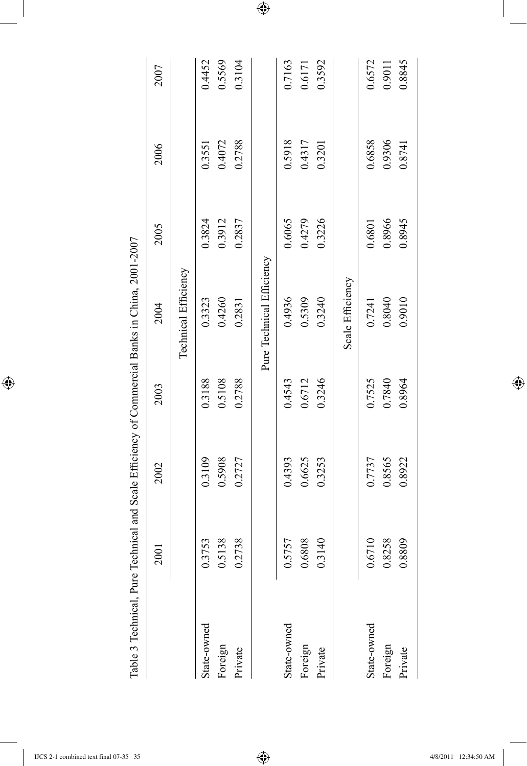|             | 2001                             | 2002   | 2003   | 2004                      | 2005   | 2006   | 2007   |
|-------------|----------------------------------|--------|--------|---------------------------|--------|--------|--------|
|             |                                  |        |        | Technical Efficiency      |        |        |        |
| State-owned | 0.3753                           | 0.3109 | 0.3188 | 0.3323                    | 0.3824 | 0.3551 | 0.4452 |
| Foreign     | 138<br>$\widetilde{\mathcal{S}}$ | 0.5908 | 0.5108 | 0.4260                    | 0.3912 | 0.4072 | 0.5569 |
| Private     | .738<br>0.2                      | 0.2727 | 0.2788 | 0.2831                    | 0.2837 | 0.2788 | 0.3104 |
|             |                                  |        |        | Pure Technical Efficiency |        |        |        |
| State-owned | 0.5757                           | 0.4393 | 0.4543 | 0.4936                    | 0.6065 | 0.5918 | 0.7163 |
| Foreign     | 808<br>$\sim 0$                  | 0.6625 | 0.6712 | 0.5309                    | 0.4279 | 0.4317 | 0.6171 |
| Private     | 0.3140                           | 0.3253 | 0.3246 | 0.3240                    | 0.3226 | 0.3201 | 0.3592 |
|             |                                  |        |        | Scale Efficiency          |        |        |        |
| State-owned | 0.6710                           | 0.7737 | 0.7525 | 0.7241                    | 0.6801 | 0.6858 | 0.6572 |
| Foreign     | 0.8258                           | 0.8565 | 0.7840 | 0.8040                    | 0.8966 | 0.9306 | 0.9011 |
| Private     | :809<br>$\overline{0.8}$         | 0.8922 | 0.8964 | 0.9010                    | 0.8945 | 0.8741 | 0.8845 |

 $\bigoplus$ 

 $\overline{\phantom{a}}$ 

 $\bigoplus$ 

I

 $\bigoplus$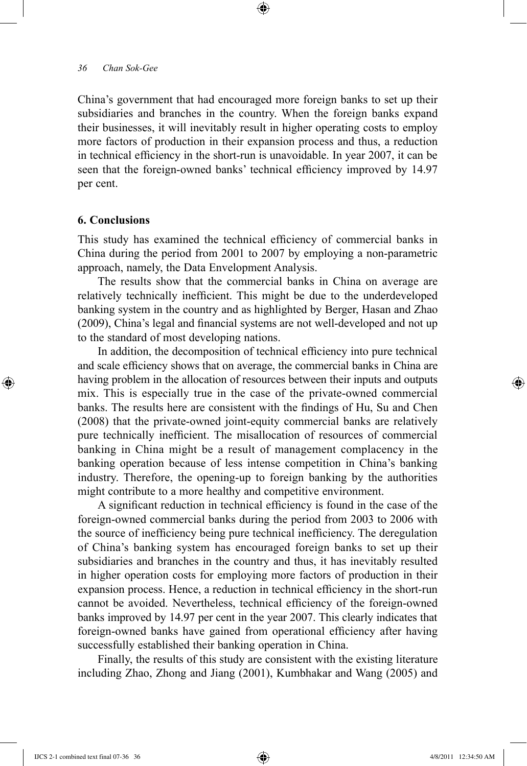China's government that had encouraged more foreign banks to set up their subsidiaries and branches in the country. When the foreign banks expand their businesses, it will inevitably result in higher operating costs to employ more factors of production in their expansion process and thus, a reduction in technical efficiency in the short-run is unavoidable. In year 2007, it can be seen that the foreign-owned banks' technical efficiency improved by 14.97 per cent.

⊕

## **6. Conclusions**

⊕

This study has examined the technical efficiency of commercial banks in China during the period from 2001 to 2007 by employing a non-parametric approach, namely, the Data Envelopment Analysis.

The results show that the commercial banks in China on average are relatively technically inefficient. This might be due to the underdeveloped banking system in the country and as highlighted by Berger, Hasan and Zhao (2009), China's legal and financial systems are not well-developed and not up to the standard of most developing nations.

In addition, the decomposition of technical efficiency into pure technical and scale efficiency shows that on average, the commercial banks in China are having problem in the allocation of resources between their inputs and outputs mix. This is especially true in the case of the private-owned commercial banks. The results here are consistent with the findings of Hu, Su and Chen (2008) that the private-owned joint-equity commercial banks are relatively pure technically inefficient. The misallocation of resources of commercial banking in China might be a result of management complacency in the banking operation because of less intense competition in China's banking industry. Therefore, the opening-up to foreign banking by the authorities might contribute to a more healthy and competitive environment.

A significant reduction in technical efficiency is found in the case of the foreign-owned commercial banks during the period from 2003 to 2006 with the source of inefficiency being pure technical inefficiency. The deregulation of China's banking system has encouraged foreign banks to set up their subsidiaries and branches in the country and thus, it has inevitably resulted in higher operation costs for employing more factors of production in their expansion process. Hence, a reduction in technical efficiency in the short-run cannot be avoided. Nevertheless, technical efficiency of the foreign-owned banks improved by 14.97 per cent in the year 2007. This clearly indicates that foreign-owned banks have gained from operational efficiency after having successfully established their banking operation in China.

Finally, the results of this study are consistent with the existing literature including Zhao, Zhong and Jiang (2001), Kumbhakar and Wang (2005) and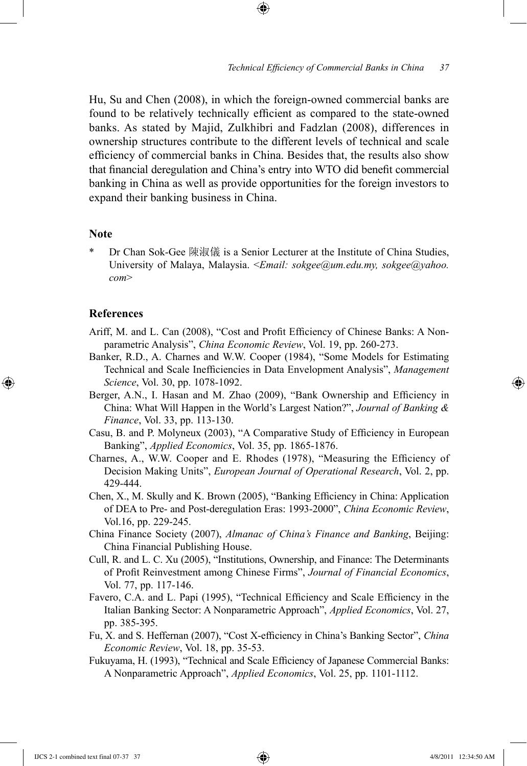Hu, Su and Chen (2008), in which the foreign-owned commercial banks are found to be relatively technically efficient as compared to the state-owned banks. As stated by Majid, Zulkhibri and Fadzlan (2008), differences in ownership structures contribute to the different levels of technical and scale efficiency of commercial banks in China. Besides that, the results also show that financial deregulation and China's entry into WTO did benefit commercial banking in China as well as provide opportunities for the foreign investors to expand their banking business in China.

⊕

## **Note**

Dr Chan Sok-Gee 陳淑儀 is a Senior Lecturer at the Institute of China Studies, University of Malaya, Malaysia. <*Email: sokgee@um.edu.my, sokgee@yahoo. com*>

### **References**

⊕

- Ariff, M. and L. Can (2008), "Cost and Profit Efficiency of Chinese Banks: A Nonparametric Analysis", *China Economic Review*, Vol. 19, pp. 260-273.
- Banker, R.D., A. Charnes and W.W. Cooper (1984), "Some Models for Estimating Technical and Scale Inefficiencies in Data Envelopment Analysis", *Management Science*, Vol. 30, pp. 1078-1092.
- Berger, A.N., I. Hasan and M. Zhao (2009), "Bank Ownership and Efficiency in China: What Will Happen in the World's Largest Nation?", *Journal of Banking & Finance*, Vol. 33, pp. 113-130.
- Casu, B. and P. Molyneux (2003), "A Comparative Study of Efficiency in European Banking", *Applied Economics*, Vol. 35, pp. 1865-1876.
- Charnes, A., W.W. Cooper and E. Rhodes (1978), "Measuring the Efficiency of Decision Making Units", *European Journal of Operational Research*, Vol. 2, pp. 429-444.
- Chen, X., M. Skully and K. Brown (2005), "Banking Efficiency in China: Application of DEA to Pre- and Post-deregulation Eras: 1993-2000", *China Economic Review*, Vol.16, pp. 229-245.
- China Finance Society (2007), *Almanac of China's Finance and Banking*, Beijing: China Financial Publishing House.
- Cull, R. and L. C. Xu (2005), "Institutions, Ownership, and Finance: The Determinants of Profit Reinvestment among Chinese Firms", *Journal of Financial Economics*, Vol. 77, pp. 117-146.
- Favero, C.A. and L. Papi (1995), "Technical Efficiency and Scale Efficiency in the Italian Banking Sector: A Nonparametric Approach", *Applied Economics*, Vol. 27, pp. 385-395.
- Fu, X. and S. Heffernan (2007), "Cost X-efficiency in China's Banking Sector", *China Economic Review*, Vol. 18, pp. 35-53.
- Fukuyama, H. (1993), "Technical and Scale Efficiency of Japanese Commercial Banks: A Nonparametric Approach", *Applied Economics*, Vol. 25, pp. 1101-1112.